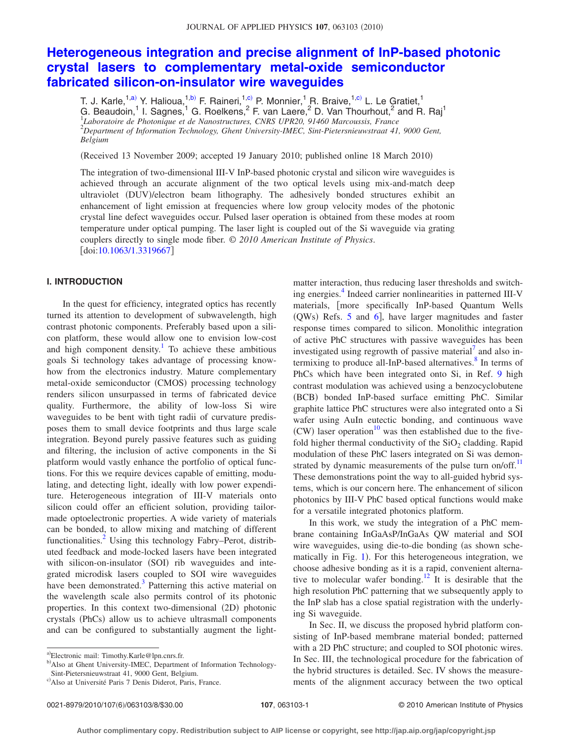# **[Heterogeneous integration and precise alignment of InP-based photonic](http://dx.doi.org/10.1063/1.3319667) [crystal lasers to complementary metal-oxide semiconductor](http://dx.doi.org/10.1063/1.3319667) [fabricated silicon-on-insulator wire waveguides](http://dx.doi.org/10.1063/1.3319667)**

T. J. Karle,<sup>1,a)</sup> Y. Halioua,<sup>1,b)</sup> F. Raineri,<sup>1</sup>,<sup>c</sup>) P. Monnier,<sup>1</sup> R. Braive,<sup>1,c)</sup> L. Le Gratiet,<sup>1</sup> G. Beaudoin,<sup>1</sup> I. Sagnes,<sup>1</sup> G. Roelkens,<sup>2</sup> F. van Laere,<sup>2</sup> D. Van Thourhout,<sup>2</sup> and R. Raj<sup>1</sup> 1 *Laboratoire de Photonique et de Nanostructures, CNRS UPR20, 91460 Marcoussis, France* 2 *Department of Information Technology, Ghent University-IMEC, Sint-Pietersnieuwstraat 41, 9000 Gent, Belgium*

(Received 13 November 2009; accepted 19 January 2010; published online 18 March 2010)

The integration of two-dimensional III-V InP-based photonic crystal and silicon wire waveguides is achieved through an accurate alignment of the two optical levels using mix-and-match deep ultraviolet (DUV)/electron beam lithography. The adhesively bonded structures exhibit an enhancement of light emission at frequencies where low group velocity modes of the photonic crystal line defect waveguides occur. Pulsed laser operation is obtained from these modes at room temperature under optical pumping. The laser light is coupled out of the Si waveguide via grating couplers directly to single mode fiber. © *2010 American Institute of Physics*.  $\left[$ doi[:10.1063/1.3319667](http://dx.doi.org/10.1063/1.3319667) $\right]$ 

## **I. INTRODUCTION**

In the quest for efficiency, integrated optics has recently turned its attention to development of subwavelength, high contrast photonic components. Preferably based upon a silicon platform, these would allow one to envision low-cost and high component density.<sup>1</sup> To achieve these ambitious goals Si technology takes advantage of processing knowhow from the electronics industry. Mature complementary metal-oxide semiconductor (CMOS) processing technology renders silicon unsurpassed in terms of fabricated device quality. Furthermore, the ability of low-loss Si wire waveguides to be bent with tight radii of curvature predisposes them to small device footprints and thus large scale integration. Beyond purely passive features such as guiding and filtering, the inclusion of active components in the Si platform would vastly enhance the portfolio of optical functions. For this we require devices capable of emitting, modulating, and detecting light, ideally with low power expenditure. Heterogeneous integration of III-V materials onto silicon could offer an efficient solution, providing tailormade optoelectronic properties. A wide variety of materials can be bonded, to allow mixing and matching of different functionalities.<sup>2</sup> Using this technology Fabry–Perot, distributed feedback and mode-locked lasers have been integrated with silicon-on-insulator (SOI) rib waveguides and integrated microdisk lasers coupled to SOI wire waveguides have been demonstrated.<sup>3</sup> Patterning this active material on the wavelength scale also permits control of its photonic properties. In this context two-dimensional (2D) photonic crystals (PhCs) allow us to achieve ultrasmall components and can be configured to substantially augment the lightmatter interaction, thus reducing laser thresholds and switching energies.<sup>4</sup> Indeed carrier nonlinearities in patterned III-V materials, [more specifically InP-based Quantum Wells (QWs) Refs. [5](#page-7-4) and [6](#page-7-5)], have larger magnitudes and faster response times compared to silicon. Monolithic integration of active PhC structures with passive waveguides has been investigated using regrowth of passive material<sup>7</sup> and also intermixing to produce all-InP-based alternatives. $\frac{8}{3}$  In terms of PhCs which have been integrated onto Si, in Ref. [9](#page-7-8) high contrast modulation was achieved using a benzocyclobutene (BCB) bonded InP-based surface emitting PhC. Similar graphite lattice PhC structures were also integrated onto a Si wafer using AuIn eutectic bonding, and continuous wave  $(CW)$  laser operation<sup>10</sup> was then established due to the fivefold higher thermal conductivity of the  $SiO<sub>2</sub>$  cladding. Rapid modulation of these PhC lasers integrated on Si was demonstrated by dynamic measurements of the pulse turn on/off. $<sup>11</sup>$ </sup> These demonstrations point the way to all-guided hybrid systems, which is our concern here. The enhancement of silicon photonics by III-V PhC based optical functions would make for a versatile integrated photonics platform.

In this work, we study the integration of a PhC membrane containing InGaAsP/InGaAs QW material and SOI wire waveguides, using die-to-die bonding (as shown sche-matically in Fig. [1](#page-1-0)). For this heterogeneous integration, we choose adhesive bonding as it is a rapid, convenient alternative to molecular wafer bonding.<sup>12</sup> It is desirable that the high resolution PhC patterning that we subsequently apply to the InP slab has a close spatial registration with the underlying Si waveguide.

In Sec. II, we discuss the proposed hybrid platform consisting of InP-based membrane material bonded; patterned with a 2D PhC structure; and coupled to SOI photonic wires. In Sec. III, the technological procedure for the fabrication of the hybrid structures is detailed. Sec. IV shows the measurements of the alignment accuracy between the two optical

a)Electronic mail: Timothy.Karle@lpn.cnrs.fr.

<sup>&</sup>lt;sup>b)</sup>Also at Ghent University-IMEC, Department of Information Technology-Sint-Pietersnieuwstraat 41, 9000 Gent, Belgium.

c<sup>)</sup>Also at Université Paris 7 Denis Diderot, Paris, France.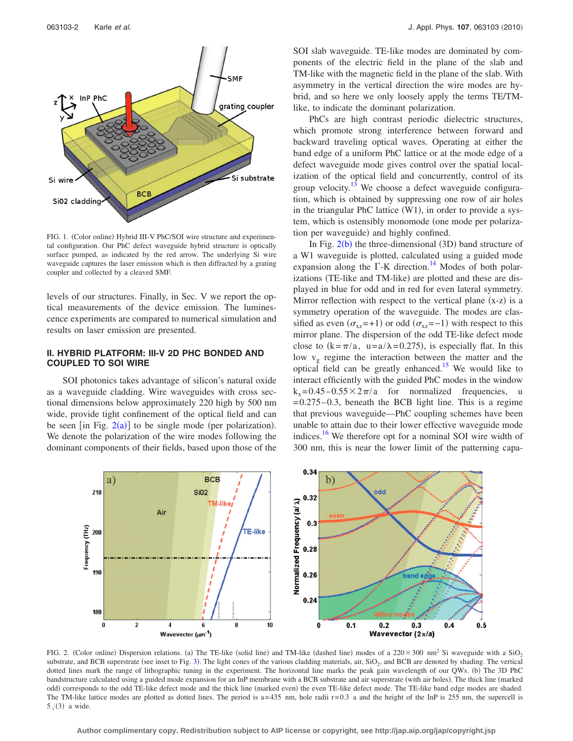<span id="page-1-0"></span>

FIG. 1. (Color online) Hybrid III-V PhC/SOI wire structure and experimental configuration. Our PhC defect waveguide hybrid structure is optically surface pumped, as indicated by the red arrow. The underlying Si wire waveguide captures the laser emission which is then diffracted by a grating coupler and collected by a cleaved SMF.

levels of our structures. Finally, in Sec. V we report the optical measurements of the device emission. The luminescence experiments are compared to numerical simulation and results on laser emission are presented.

## **II. HYBRID PLATFORM: III-V 2D PHC BONDED AND COUPLED TO SOI WIRE**

SOI photonics takes advantage of silicon's natural oxide as a waveguide cladding. Wire waveguides with cross sectional dimensions below approximately 220 high by 500 nm wide, provide tight confinement of the optical field and can be seen [in Fig.  $2(a)$  $2(a)$ ] to be single mode (per polarization). We denote the polarization of the wire modes following the dominant components of their fields, based upon those of the SOI slab waveguide. TE-like modes are dominated by components of the electric field in the plane of the slab and TM-like with the magnetic field in the plane of the slab. With asymmetry in the vertical direction the wire modes are hybrid, and so here we only loosely apply the terms TE/TMlike, to indicate the dominant polarization.

PhCs are high contrast periodic dielectric structures, which promote strong interference between forward and backward traveling optical waves. Operating at either the band edge of a uniform PhC lattice or at the mode edge of a defect waveguide mode gives control over the spatial localization of the optical field and concurrently, control of its group velocity. $13$  We choose a defect waveguide configuration, which is obtained by suppressing one row of air holes in the triangular PhC lattice (W1), in order to provide a system, which is ostensibly monomode (one mode per polarization per waveguide) and highly confined.

In Fig.  $2(b)$  $2(b)$  the three-dimensional (3D) band structure of a W1 waveguide is plotted, calculated using a guided mode expansion along the  $\Gamma$ -K direction.<sup>14</sup> Modes of both polarizations (TE-like and TM-like) are plotted and these are displayed in blue for odd and in red for even lateral symmetry. Mirror reflection with respect to the vertical plane  $(x-z)$  is a symmetry operation of the waveguide. The modes are classified as even  $(\sigma_{xz}=+1)$  or odd  $(\sigma_{xz}=-1)$  with respect to this mirror plane. The dispersion of the odd TE-like defect mode close to  $(k = \pi/a, u = a/\lambda = 0.275)$ , is especially flat. In this low  $v_g$  regime the interaction between the matter and the optical field can be greatly enhanced.<sup>15</sup> We would like to interact efficiently with the guided PhC modes in the window  $k_x = 0.45 - 0.55 \times 2\pi/a$  for normalized frequencies, u  $= 0.275 - 0.3$ , beneath the BCB light line. This is a regime that previous waveguide—PhC coupling schemes have been unable to attain due to their lower effective waveguide mode indices.<sup>16</sup> We therefore opt for a nominal SOI wire width of 300 nm, this is near the lower limit of the patterning capa-

<span id="page-1-1"></span>

FIG. 2. (Color online) Dispersion relations. (a) The TE-like (solid line) and TM-like (dashed line) modes of a 220×300 nm<sup>2</sup> Si waveguide with a SiO<sub>2</sub> substrate, and BCB superstrate (see inset to Fig. [3](#page-2-0)). The light cones of the various cladding materials, air, SiO<sub>2</sub>, and BCB are denoted by shading. The vertical dotted lines mark the range of lithographic tuning in the experiment. The horizontal line marks the peak gain wavelength of our QWs. (b) The 3D PhC bandstructure calculated using a guided mode expansion for an InP membrane with a BCB substrate and air superstrate (with air holes). The thick line (marked odd) corresponds to the odd TE-like defect mode and the thick line (marked even) the even TE-like defect mode. The TE-like band edge modes are shaded. The TM-like lattice modes are plotted as dotted lines. The period is  $a=435$  nm, hole radii  $r=0.3$  a and the height of the InP is 255 nm, the supercell is  $5\sqrt{3}$  a wide.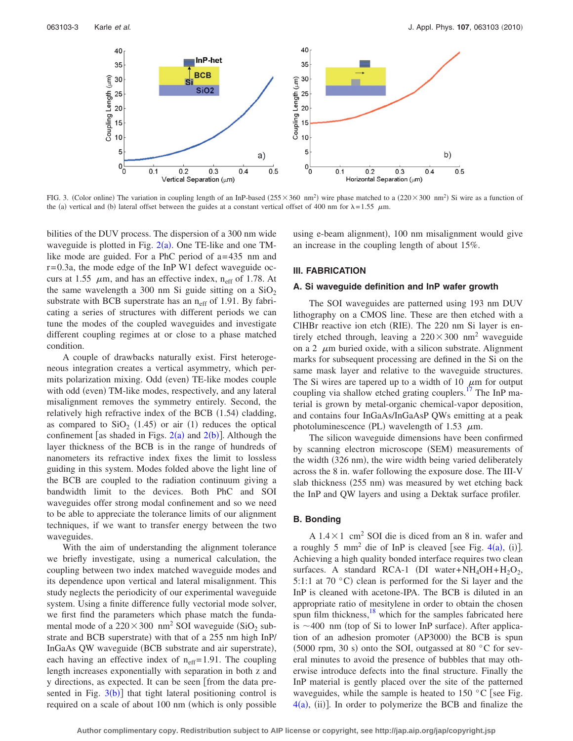<span id="page-2-0"></span>

FIG. 3. (Color online) The variation in coupling length of an InP-based  $(255 \times 360 \text{ nm}^2)$  wire phase matched to a  $(220 \times 300 \text{ nm}^2)$  Si wire as a function of the (a) vertical and (b) lateral offset between the guides at a constant vertical offset of 400 nm for  $\lambda = 1.55 \mu m$ .

bilities of the DUV process. The dispersion of a 300 nm wide waveguide is plotted in Fig.  $2(a)$  $2(a)$ . One TE-like and one TMlike mode are guided. For a PhC period of a= 435 nm and r= 0.3a, the mode edge of the InP W1 defect waveguide occurs at 1.55  $\mu$ m, and has an effective index, n<sub>eff</sub> of 1.78. At the same wavelength a 300 nm Si guide sitting on a  $SiO<sub>2</sub>$ substrate with BCB superstrate has an  $n_{\text{eff}}$  of 1.91. By fabricating a series of structures with different periods we can tune the modes of the coupled waveguides and investigate different coupling regimes at or close to a phase matched condition.

A couple of drawbacks naturally exist. First heterogeneous integration creates a vertical asymmetry, which permits polarization mixing. Odd (even) TE-like modes couple with odd (even) TM-like modes, respectively, and any lateral misalignment removes the symmetry entirely. Second, the relatively high refractive index of the BCB  $(1.54)$  cladding, as compared to  $SiO<sub>2</sub>$  (1.45) or air (1) reduces the optical confinement [as shaded in Figs.  $2(a)$  $2(a)$  and  $2(b)$ ]. Although the layer thickness of the BCB is in the range of hundreds of nanometers its refractive index fixes the limit to lossless guiding in this system. Modes folded above the light line of the BCB are coupled to the radiation continuum giving a bandwidth limit to the devices. Both PhC and SOI waveguides offer strong modal confinement and so we need to be able to appreciate the tolerance limits of our alignment techniques, if we want to transfer energy between the two waveguides.

With the aim of understanding the alignment tolerance we briefly investigate, using a numerical calculation, the coupling between two index matched waveguide modes and its dependence upon vertical and lateral misalignment. This study neglects the periodicity of our experimental waveguide system. Using a finite difference fully vectorial mode solver, we first find the parameters which phase match the fundamental mode of a  $220 \times 300 \text{ nm}^2$  SOI waveguide (SiO<sub>2</sub> substrate and BCB superstrate) with that of a 255 nm high InP/ InGaAs QW waveguide (BCB substrate and air superstrate), each having an effective index of  $n_{\text{eff}}$ = 1.91. The coupling length increases exponentially with separation in both z and y directions, as expected. It can be seen from the data presented in Fig.  $3(b)$  $3(b)$ ] that tight lateral positioning control is required on a scale of about 100 nm (which is only possible

using e-beam alignment), 100 nm misalignment would give an increase in the coupling length of about 15%.

#### **III. FABRICATION**

#### **A. Si waveguide definition and InP wafer growth**

The SOI waveguides are patterned using 193 nm DUV lithography on a CMOS line. These are then etched with a ClHBr reactive ion etch (RIE). The 220 nm Si layer is entirely etched through, leaving a  $220 \times 300$  nm<sup>2</sup> waveguide on a 2  $\mu$ m buried oxide, with a silicon substrate. Alignment marks for subsequent processing are defined in the Si on the same mask layer and relative to the waveguide structures. The Si wires are tapered up to a width of 10  $\mu$ m for output coupling via shallow etched grating couplers.<sup>17</sup> The InP material is grown by metal-organic chemical-vapor deposition, and contains four InGaAs/InGaAsP QWs emitting at a peak photoluminescence (PL) wavelength of 1.53  $\mu$ m.

The silicon waveguide dimensions have been confirmed by scanning electron microscope (SEM) measurements of the width (326 nm), the wire width being varied deliberately across the 8 in. wafer following the exposure dose. The III-V slab thickness (255 nm) was measured by wet etching back the InP and QW layers and using a Dektak surface profiler.

## **B. Bonding**

A  $1.4 \times 1$  cm<sup>2</sup> SOI die is diced from an 8 in. wafer and a roughly 5 mm<sup>2</sup> die of InP is cleaved [see Fig.  $4(a)$  $4(a)$ , (i)]. Achieving a high quality bonded interface requires two clean surfaces. A standard RCA-1 (DI water+NH<sub>4</sub>OH+H<sub>2</sub>O<sub>2</sub>, 5:1:1 at 70  $^{\circ}$ C) clean is performed for the Si layer and the InP is cleaned with acetone-IPA. The BCB is diluted in an appropriate ratio of mesitylene in order to obtain the chosen spun film thickness, $\frac{18}{18}$  which for the samples fabricated here is  $\sim$  400 nm (top of Si to lower InP surface). After application of an adhesion promoter (AP3000) the BCB is spun (5000 rpm, 30 s) onto the SOI, outgassed at 80  $^{\circ}$ C for several minutes to avoid the presence of bubbles that may otherwise introduce defects into the final structure. Finally the InP material is gently placed over the site of the patterned waveguides, while the sample is heated to 150  $\degree$ C [see Fig.  $4(a)$  $4(a)$ , (ii)]. In order to polymerize the BCB and finalize the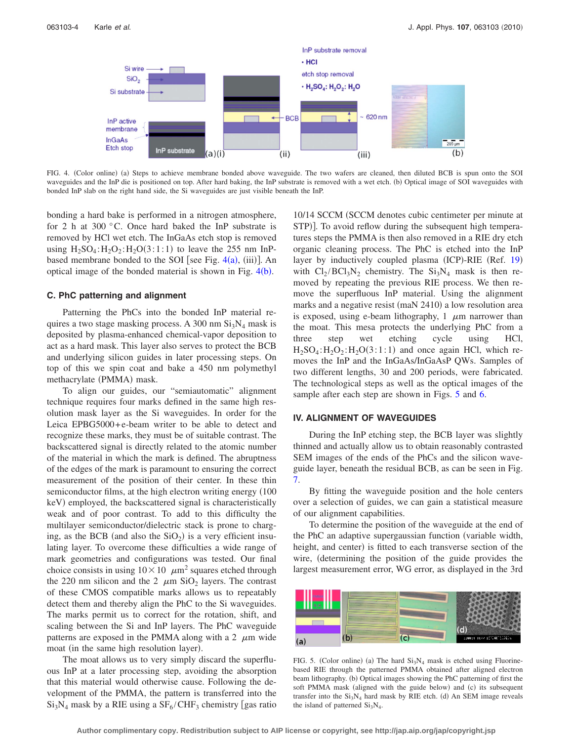<span id="page-3-0"></span>

FIG. 4. (Color online) (a) Steps to achieve membrane bonded above waveguide. The two wafers are cleaned, then diluted BCB is spun onto the SOI waveguides and the InP die is positioned on top. After hard baking, the InP substrate is removed with a wet etch. (b) Optical image of SOI waveguides with bonded InP slab on the right hand side, the Si waveguides are just visible beneath the InP.

bonding a hard bake is performed in a nitrogen atmosphere, for 2 h at 300 °C. Once hard baked the InP substrate is removed by HCl wet etch. The InGaAs etch stop is removed using  $H_2SO_4$ :  $H_2O_2$ :  $H_2O(3:1:1)$  to leave the 255 nm InPbased membrane bonded to the SOI [see Fig.  $4(a)$  $4(a)$ , (iii)]. An optical image of the bonded material is shown in Fig.  $4(b)$  $4(b)$ .

#### **C. PhC patterning and alignment**

Patterning the PhCs into the bonded InP material requires a two stage masking process. A 300 nm  $Si<sub>3</sub>N<sub>4</sub>$  mask is deposited by plasma-enhanced chemical-vapor deposition to act as a hard mask. This layer also serves to protect the BCB and underlying silicon guides in later processing steps. On top of this we spin coat and bake a 450 nm polymethyl methacrylate (PMMA) mask.

To align our guides, our "semiautomatic" alignment technique requires four marks defined in the same high resolution mask layer as the Si waveguides. In order for the Leica EPBG5000+e-beam writer to be able to detect and recognize these marks, they must be of suitable contrast. The backscattered signal is directly related to the atomic number of the material in which the mark is defined. The abruptness of the edges of the mark is paramount to ensuring the correct measurement of the position of their center. In these thin semiconductor films, at the high electron writing energy  $(100$ keV) employed, the backscattered signal is characteristically weak and of poor contrast. To add to this difficulty the multilayer semiconductor/dielectric stack is prone to charging, as the BCB (and also the  $SiO<sub>2</sub>$ ) is a very efficient insulating layer. To overcome these difficulties a wide range of mark geometries and configurations was tested. Our final choice consists in using  $10 \times 10 \mu m^2$  squares etched through the 220 nm silicon and the 2  $\mu$ m SiO<sub>2</sub> layers. The contrast of these CMOS compatible marks allows us to repeatably detect them and thereby align the PhC to the Si waveguides. The marks permit us to correct for the rotation, shift, and scaling between the Si and InP layers. The PhC waveguide patterns are exposed in the PMMA along with a 2  $\mu$ m wide moat (in the same high resolution layer).

The moat allows us to very simply discard the superfluous InP at a later processing step, avoiding the absorption that this material would otherwise cause. Following the development of the PMMA, the pattern is transferred into the  $Si<sub>3</sub>N<sub>4</sub>$  mask by a RIE using a  $SF<sub>6</sub>/CHF<sub>3</sub>$  chemistry [gas ratio

10/14 SCCM (SCCM denotes cubic centimeter per minute at STP)]. To avoid reflow during the subsequent high temperatures steps the PMMA is then also removed in a RIE dry etch organic cleaning process. The PhC is etched into the InP layer by inductively coupled plasma (ICP)-RIE (Ref. [19](#page-7-18)) with  $Cl_2/BCl_3N_2$  chemistry. The  $Si_3N_4$  mask is then removed by repeating the previous RIE process. We then remove the superfluous InP material. Using the alignment marks and a negative resist (maN 2410) a low resolution area is exposed, using e-beam lithography,  $1 \mu m$  narrower than the moat. This mesa protects the underlying PhC from a three step wet etching cycle using HCl,  $H_2SO_4$ :  $H_2O_2$ :  $H_2O(3:1:1)$  and once again HCl, which removes the InP and the InGaAs/InGaAsP QWs. Samples of two different lengths, 30 and 200 periods, were fabricated. The technological steps as well as the optical images of the sample after each step are shown in Figs. [5](#page-3-1) and [6.](#page-4-0)

## **IV. ALIGNMENT OF WAVEGUIDES**

During the InP etching step, the BCB layer was slightly thinned and actually allow us to obtain reasonably contrasted SEM images of the ends of the PhCs and the silicon waveguide layer, beneath the residual BCB, as can be seen in Fig. [7.](#page-4-1)

By fitting the waveguide position and the hole centers over a selection of guides, we can gain a statistical measure of our alignment capabilities.

To determine the position of the waveguide at the end of the PhC an adaptive supergaussian function (variable width, height, and center) is fitted to each transverse section of the wire, determining the position of the guide provides the largest measurement error, WG error, as displayed in the 3rd

<span id="page-3-1"></span>

FIG. 5. (Color online) (a) The hard  $Si<sub>3</sub>N<sub>4</sub>$  mask is etched using Fluorinebased RIE through the patterned PMMA obtained after aligned electron beam lithography. (b) Optical images showing the PhC patterning of first the soft PMMA mask (aligned with the guide below) and (c) its subsequent transfer into the  $Si<sub>3</sub>N<sub>4</sub>$  hard mask by RIE etch. (d) An SEM image reveals the island of patterned  $Si<sub>3</sub>N<sub>4</sub>$ .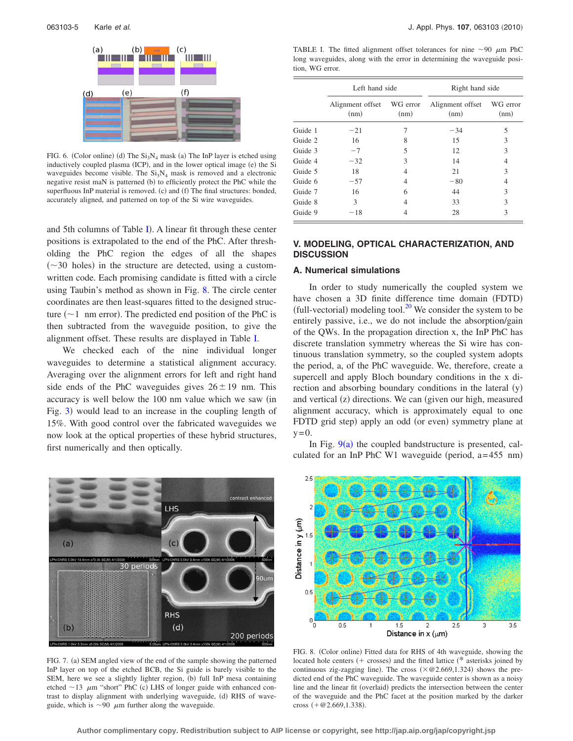<span id="page-4-0"></span>

FIG. 6. (Color online) (d) The  $Si<sub>3</sub>N<sub>4</sub>$  mask (a) The InP layer is etched using inductively coupled plasma (ICP), and in the lower optical image (e) the Si waveguides become visible. The  $Si<sub>3</sub>N<sub>4</sub>$  mask is removed and a electronic negative resist maN is patterned (b) to efficiently protect the PhC while the superfluous InP material is removed. (c) and (f) The final structures: bonded, accurately aligned, and patterned on top of the Si wire waveguides.

and 5th columns of Table [I](#page-4-2)). A linear fit through these center positions is extrapolated to the end of the PhC. After thresholding the PhC region the edges of all the shapes  $(\sim]30$  holes) in the structure are detected, using a customwritten code. Each promising candidate is fitted with a circle using Taubin's method as shown in Fig. [8.](#page-4-3) The circle center coordinates are then least-squares fitted to the designed structure  $(\sim 1$  nm error). The predicted end position of the PhC is then subtracted from the waveguide position, to give the alignment offset. These results are displayed in Table [I.](#page-4-2)

We checked each of the nine individual longer waveguides to determine a statistical alignment accuracy. Averaging over the alignment errors for left and right hand side ends of the PhC waveguides gives  $26 \pm 19$  nm. This accuracy is well below the 100 nm value which we saw (in Fig. [3](#page-2-0)) would lead to an increase in the coupling length of 15%. With good control over the fabricated waveguides we now look at the optical properties of these hybrid structures, first numerically and then optically.

<span id="page-4-1"></span>

FIG. 7. (a) SEM angled view of the end of the sample showing the patterned InP layer on top of the etched BCB, the Si guide is barely visible to the SEM, here we see a slightly lighter region, (b) full InP mesa containing etched  $\sim$  13  $\mu$ m "short" PhC (c) LHS of longer guide with enhanced contrast to display alignment with underlying waveguide, (d) RHS of waveguide, which is  $\sim$ 90  $\mu$ m further along the waveguide.

<span id="page-4-2"></span>TABLE I. The fitted alignment offset tolerances for nine  $\sim 90 \mu m$  PhC long waveguides, along with the error in determining the waveguide position, WG error.

|         | Left hand side                    |      | Right hand side          |                  |
|---------|-----------------------------------|------|--------------------------|------------------|
|         | Alignment offset WG error<br>(nm) | (nm) | Alignment offset<br>(nm) | WG error<br>(nm) |
| Guide 1 | $-21$                             | 7    | $-34$                    | 5                |
| Guide 2 | 16                                | 8    | 15                       | 3                |
| Guide 3 | $-7$                              | 5    | 12                       | 3                |
| Guide 4 | $-32$                             | 3    | 14                       | 4                |
| Guide 5 | 18                                | 4    | 21                       | 3                |
| Guide 6 | $-57$                             | 4    | $-80$                    | 4                |
| Guide 7 | 16                                | 6    | 44                       | 3                |
| Guide 8 | 3                                 | 4    | 33                       | 3                |
| Guide 9 | $-18$                             | 4    | 28                       | 3                |

## **V. MODELING, OPTICAL CHARACTERIZATION, AND DISCUSSION**

#### **A. Numerical simulations**

In order to study numerically the coupled system we have chosen a 3D finite difference time domain (FDTD) (full-vectorial) modeling tool.<sup>20</sup> We consider the system to be entirely passive, i.e., we do not include the absorption/gain of the QWs. In the propagation direction x, the InP PhC has discrete translation symmetry whereas the Si wire has continuous translation symmetry, so the coupled system adopts the period, a, of the PhC waveguide. We, therefore, create a supercell and apply Bloch boundary conditions in the x direction and absorbing boundary conditions in the lateral (y) and vertical (z) directions. We can (given our high, measured alignment accuracy, which is approximately equal to one FDTD grid step) apply an odd (or even) symmetry plane at  $y=0$ .

In Fig.  $9(a)$  $9(a)$  the coupled bandstructure is presented, calculated for an InP PhC W1 waveguide (period,  $a = 455$  nm)

<span id="page-4-3"></span>

FIG. 8. (Color online) Fitted data for RHS of 4th waveguide, showing the located hole centers  $($  + crosses) and the fitted lattice  $(*$  asterisks joined by continuous zig-zagging line). The cross  $(\times \textcircled{e} 2.669, 1.324)$  shows the predicted end of the PhC waveguide. The waveguide center is shown as a noisy line and the linear fit (overlaid) predicts the intersection between the center of the waveguide and the PhC facet at the position marked by the darker cross  $(+@2.669, 1.338).$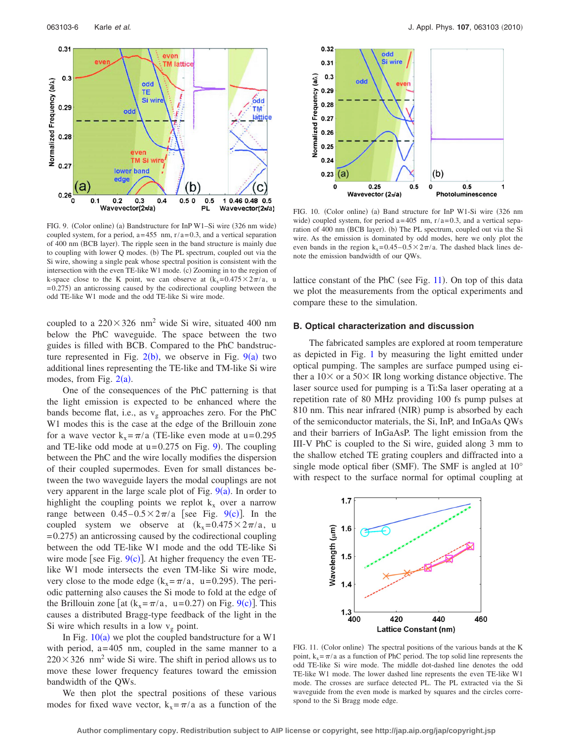<span id="page-5-0"></span>

FIG. 9. (Color online) (a) Bandstructure for InP W1-Si wire (326 nm wide) coupled system, for a period,  $a=455$  nm,  $r/a=0.3$ , and a vertical separation of 400 nm (BCB layer). The ripple seen in the band structure is mainly due to coupling with lower Q modes. (b) The PL spectrum, coupled out via the Si wire, showing a single peak whose spectral position is consistent with the intersection with the even TE-like W1 mode. (c) Zooming in to the region of k-space close to the K point, we can observe at  $(k_x=0.475\times2\pi/a)$ , u  $= 0.275$ ) an anticrossing caused by the codirectional coupling between the odd TE-like W1 mode and the odd TE-like Si wire mode.

coupled to a  $220 \times 326$  nm<sup>2</sup> wide Si wire, situated 400 nm below the PhC waveguide. The space between the two guides is filled with BCB. Compared to the PhC bandstructure represented in Fig.  $2(b)$  $2(b)$ , we observe in Fig.  $9(a)$  $9(a)$  two additional lines representing the TE-like and TM-like Si wire modes, from Fig.  $2(a)$  $2(a)$ .

One of the consequences of the PhC patterning is that the light emission is expected to be enhanced where the bands become flat, i.e., as  $v_g$  approaches zero. For the PhC W1 modes this is the case at the edge of the Brillouin zone for a wave vector  $k_x = \pi/a$  (TE-like even mode at u=0.295) and TE-like odd mode at  $u=0.275$  on Fig. [9](#page-5-0)). The coupling between the PhC and the wire locally modifies the dispersion of their coupled supermodes. Even for small distances between the two waveguide layers the modal couplings are not very apparent in the large scale plot of Fig.  $9(a)$  $9(a)$ . In order to highlight the coupling points we replot  $k_x$  over a narrow range between  $0.45-0.5 \times 2\pi/a$  [see Fig. [9](#page-5-0)(c)]. In the coupled system we observe at  $(k_x=0.475\times2\pi/a)$ , u  $= 0.275$ ) an anticrossing caused by the codirectional coupling between the odd TE-like W1 mode and the odd TE-like Si wire mode [see Fig.  $9(c)$  $9(c)$ ]. At higher frequency the even TElike W1 mode intersects the even TM-like Si wire mode, very close to the mode edge  $(k_x = \pi/a, u = 0.295)$ . The periodic patterning also causes the Si mode to fold at the edge of the Brillouin zone [at  $(k_x = \pi/a, u = 0.27)$  on Fig. [9](#page-5-0)(c)]. This causes a distributed Bragg-type feedback of the light in the Si wire which results in a low  $v_g$  point.

In Fig.  $10(a)$  $10(a)$  we plot the coupled bandstructure for a W1 with period,  $a=405$  nm, coupled in the same manner to a  $220 \times 326$  nm<sup>2</sup> wide Si wire. The shift in period allows us to move these lower frequency features toward the emission bandwidth of the QWs.

We then plot the spectral positions of these various modes for fixed wave vector,  $k_x = \pi/a$  as a function of the

<span id="page-5-1"></span>

FIG. 10. (Color online) (a) Band structure for InP W1-Si wire (326 nm wide) coupled system, for period  $a=405$  nm,  $r/a=0.3$ , and a vertical separation of 400 nm (BCB layer). (b) The PL spectrum, coupled out via the Si wire. As the emission is dominated by odd modes, here we only plot the even bands in the region  $k_x = 0.45 - 0.5 \times 2\pi/a$ . The dashed black lines denote the emission bandwidth of our QWs.

lattice constant of the PhC (see Fig. [11](#page-5-2)). On top of this data we plot the measurements from the optical experiments and compare these to the simulation.

#### **B. Optical characterization and discussion**

The fabricated samples are explored at room temperature as depicted in Fig. [1](#page-1-0) by measuring the light emitted under optical pumping. The samples are surface pumped using either a  $10\times$  or a  $50\times$  IR long working distance objective. The laser source used for pumping is a Ti:Sa laser operating at a repetition rate of 80 MHz providing 100 fs pump pulses at 810 nm. This near infrared (NIR) pump is absorbed by each of the semiconductor materials, the Si, InP, and InGaAs QWs and their barriers of InGaAsP. The light emission from the III-V PhC is coupled to the Si wire, guided along 3 mm to the shallow etched TE grating couplers and diffracted into a single mode optical fiber (SMF). The SMF is angled at  $10^{\circ}$ with respect to the surface normal for optimal coupling at

<span id="page-5-2"></span>

FIG. 11. (Color online) The spectral positions of the various bands at the K point,  $k_x = \pi/a$  as a function of PhC period. The top solid line represents the odd TE-like Si wire mode. The middle dot-dashed line denotes the odd TE-like W1 mode. The lower dashed line represents the even TE-like W1 mode. The crosses are surface detected PL. The PL extracted via the Si waveguide from the even mode is marked by squares and the circles correspond to the Si Bragg mode edge.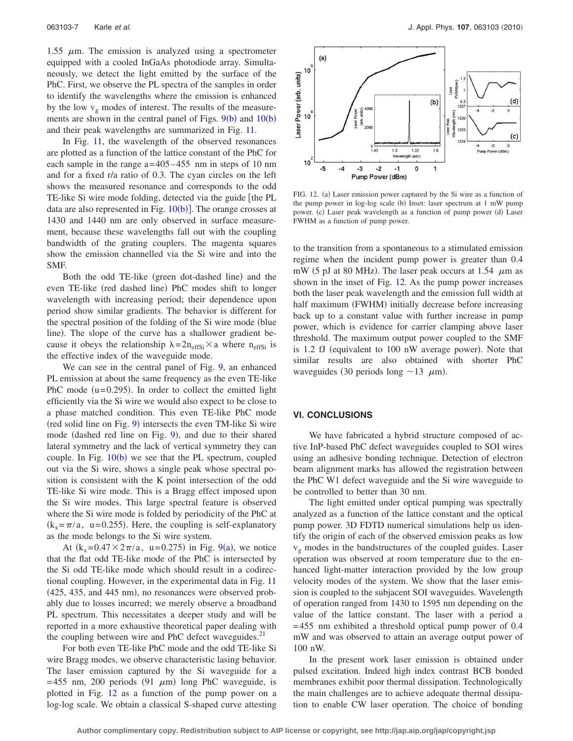1.55  $\mu$ m. The emission is analyzed using a spectrometer equipped with a cooled InGaAs photodiode array. Simultaneously, we detect the light emitted by the surface of the PhC. First, we observe the PL spectra of the samples in order to identify the wavelengths where the emission is enhanced by the low  $v_g$  modes of interest. The results of the measurements are shown in the central panel of Figs.  $9(b)$  $9(b)$  and  $10(b)$  $10(b)$ and their peak wavelengths are summarized in Fig. [11.](#page-5-2)

In Fig. [11,](#page-5-2) the wavelength of the observed resonances are plotted as a function of the lattice constant of the PhC for each sample in the range  $a = 405 - 455$  nm in steps of 10 nm and for a fixed r/a ratio of 0.3. The cyan circles on the left shows the measured resonance and corresponds to the odd TE-like Si wire mode folding, detected via the guide [the PL data are also represented in Fig.  $10(b)$  $10(b)$ ]. The orange crosses at 1430 and 1440 nm are only observed in surface measurement, because these wavelengths fall out with the coupling bandwidth of the grating couplers. The magenta squares show the emission channelled via the Si wire and into the SMF.

Both the odd TE-like (green dot-dashed line) and the even TE-like (red dashed line) PhC modes shift to longer wavelength with increasing period; their dependence upon period show similar gradients. The behavior is different for the spectral position of the folding of the Si wire mode (blue) line). The slope of the curve has a shallower gradient because it obeys the relationship  $\lambda = 2n_{\text{effSi}} \times a$  where  $n_{\text{effSi}}$  is the effective index of the waveguide mode.

We can see in the central panel of Fig. [9,](#page-5-0) an enhanced PL emission at about the same frequency as the even TE-like PhC mode  $(u=0.295)$ . In order to collect the emitted light efficiently via the Si wire we would also expect to be close to a phase matched condition. This even TE-like PhC mode (red solid line on Fig. [9](#page-5-0)) intersects the even TM-like Si wire mode (dashed red line on Fig. [9](#page-5-0)), and due to their shared lateral symmetry and the lack of vertical symmetry they can couple. In Fig.  $10(b)$  $10(b)$  we see that the PL spectrum, coupled out via the Si wire, shows a single peak whose spectral position is consistent with the K point intersection of the odd TE-like Si wire mode. This is a Bragg effect imposed upon the Si wire modes. This large spectral feature is observed where the Si wire mode is folded by periodicity of the PhC at  $(k_x = \pi/a, u = 0.255)$ . Here, the coupling is self-explanatory as the mode belongs to the Si wire system.

At  $(k_x=0.47 \times 2\pi/a, u=0.275)$  in Fig. [9](#page-5-0)(a), we notice that the flat odd TE-like mode of the PhC is intersected by the Si odd TE-like mode which should result in a codirectional coupling. However, in the experimental data in Fig. [11](#page-5-2) (425, 435, and 445 nm), no resonances were observed probably due to losses incurred; we merely observe a broadband PL spectrum. This necessitates a deeper study and will be reported in a more exhaustive theoretical paper dealing with the coupling between wire and PhC defect waveguides. $21$ 

For both even TE-like PhC mode and the odd TE-like Si wire Bragg modes, we observe characteristic lasing behavior. The laser emission captured by the Si waveguide for a  $= 455$  nm, 200 periods (91  $\mu$ m) long PhC waveguide, is plotted in Fig. [12](#page-6-0) as a function of the pump power on a log-log scale. We obtain a classical S-shaped curve attesting

<span id="page-6-0"></span>

FIG. 12. (a) Laser emission power captured by the Si wire as a function of the pump power in log-log scale (b) Inset: laser spectrum at 1 mW pump power. (c) Laser peak wavelength as a function of pump power (d) Laser FWHM as a function of pump power.

to the transition from a spontaneous to a stimulated emission regime when the incident pump power is greater than 0.4 mW (5 pJ at 80 MHz). The laser peak occurs at 1.54  $\mu$ m as shown in the inset of Fig. [12.](#page-6-0) As the pump power increases both the laser peak wavelength and the emission full width at half maximum (FWHM) initially decrease before increasing back up to a constant value with further increase in pump power, which is evidence for carrier clamping above laser threshold. The maximum output power coupled to the SMF is 1.2 fJ (equivalent to 100 nW average power). Note that similar results are also obtained with shorter PhC waveguides (30 periods long  $\sim$ 13  $\mu$ m).

## **VI. CONCLUSIONS**

We have fabricated a hybrid structure composed of active InP-based PhC defect waveguides coupled to SOI wires using an adhesive bonding technique. Detection of electron beam alignment marks has allowed the registration between the PhC W1 defect waveguide and the Si wire waveguide to be controlled to better than 30 nm.

The light emitted under optical pumping was spectrally analyzed as a function of the lattice constant and the optical pump power. 3D FDTD numerical simulations help us identify the origin of each of the observed emission peaks as low  $v<sub>g</sub>$  modes in the bandstructures of the coupled guides. Laser operation was observed at room temperature due to the enhanced light-matter interaction provided by the low group velocity modes of the system. We show that the laser emission is coupled to the subjacent SOI waveguides. Wavelength of operation ranged from 1430 to 1595 nm depending on the value of the lattice constant. The laser with a period a = 455 nm exhibited a threshold optical pump power of 0.4 mW and was observed to attain an average output power of 100 nW.

In the present work laser emission is obtained under pulsed excitation. Indeed high index contrast BCB bonded membranes exhibit poor thermal dissipation. Technologically the main challenges are to achieve adequate thermal dissipation to enable CW laser operation. The choice of bonding